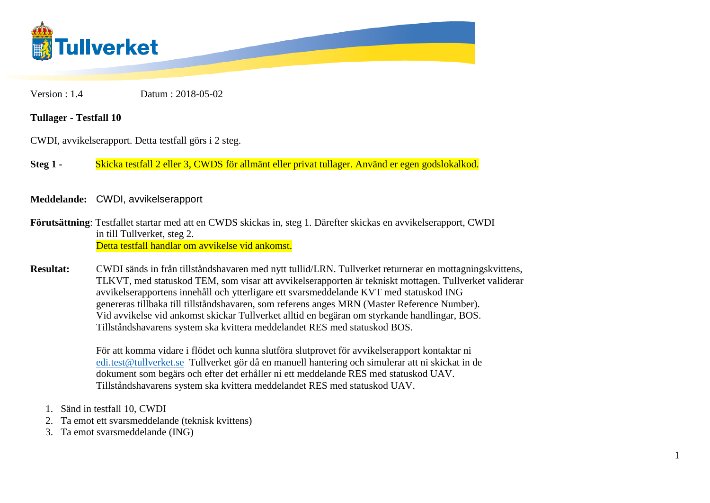

Version : 1.4 Datum : 2018-05-02

## **Tullager - Testfall 10**

CWDI, avvikelserapport. Detta testfall görs i 2 steg.

**Steg 1 -** Skicka testfall 2 eller 3, CWDS för allmänt eller privat tullager. Använd er egen godslokalkod.

**Meddelande:** CWDI, avvikelserapport

**Förutsättning**: Testfallet startar med att en CWDS skickas in, steg 1. Därefter skickas en avvikelserapport, CWDI in till Tullverket, steg 2. Detta testfall handlar om avvikelse vid ankomst.

**Resultat:** CWDI sänds in från tillståndshavaren med nytt tullid/LRN. Tullverket returnerar en mottagningskvittens, TLKVT, med statuskod TEM, som visar att avvikelserapporten är tekniskt mottagen. Tullverket validerar avvikelserapportens innehåll och ytterligare ett svarsmeddelande KVT med statuskod ING genereras tillbaka till tillståndshavaren, som referens anges MRN (Master Reference Number). Vid avvikelse vid ankomst skickar Tullverket alltid en begäran om styrkande handlingar, BOS. Tillståndshavarens system ska kvittera meddelandet RES med statuskod BOS.

> För att komma vidare i flödet och kunna slutföra slutprovet för avvikelserapport kontaktar ni [edi.test@tullverket.se](mailto:edi.test@tullverket.se) Tullverket gör då en manuell hantering och simulerar att ni skickat in de dokument som begärs och efter det erhåller ni ett meddelande RES med statuskod UAV. Tillståndshavarens system ska kvittera meddelandet RES med statuskod UAV.

- 1. Sänd in testfall 10, CWDI
- 2. Ta emot ett svarsmeddelande (teknisk kvittens)
- 3. Ta emot svarsmeddelande (ING)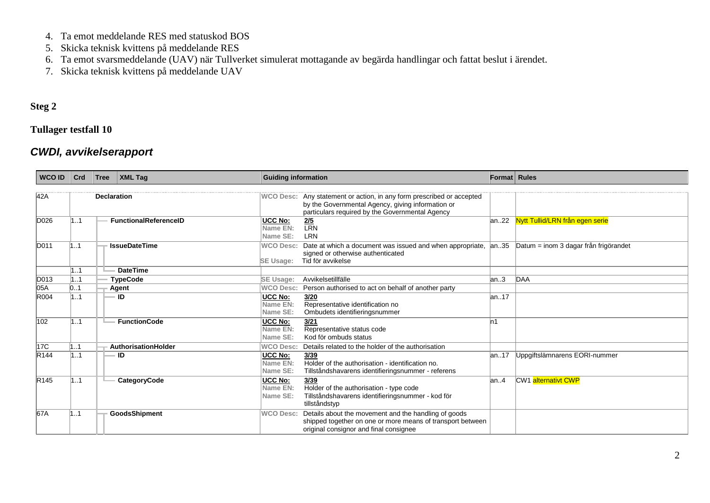- 4. Ta emot meddelande RES med statuskod BOS
- 5. Skicka teknisk kvittens på meddelande RES
- 6. Ta emot svarsmeddelande (UAV) när Tullverket simulerat mottagande av begärda handlingar och fattat beslut i ärendet.
- 7. Skicka teknisk kvittens på meddelande UAV

## **Steg 2**

## **Tullager testfall 10**

## *CWDI, avvikelserapport*

| <b>WCO ID</b>    | Crd                | Tree | $\vert$ XML Taq              | <b>Guiding information</b>             |                                                                                                                                                                     | Format Rules |                                       |
|------------------|--------------------|------|------------------------------|----------------------------------------|---------------------------------------------------------------------------------------------------------------------------------------------------------------------|--------------|---------------------------------------|
| 42A              | <b>Declaration</b> |      |                              | <b>WCO Desc:</b>                       | Any statement or action, in any form prescribed or accepted<br>by the Governmental Agency, giving information or<br>particulars required by the Governmental Agency |              |                                       |
| D026             | 11                 |      | <b>FunctionalReferenceID</b> | <b>UCC No:</b><br>Name EN:<br>Name SE: | $\frac{2/5}{LRN}$<br><b>LRN</b>                                                                                                                                     |              | an22 Nytt Tullid/LRN från egen serie  |
| D011             | $\sim$ 1           |      | <b>IssueDateTime</b>         | <b>WCO Desc:</b><br><b>SE Usage:</b>   | Date at which a document was issued and when appropriate,<br>signed or otherwise authenticated<br>Tid för avvikelse                                                 | an.35        | Datum = inom 3 dagar från frigörandet |
|                  | 11                 |      | <b>DateTime</b>              |                                        |                                                                                                                                                                     |              |                                       |
| D013             | 1.1                |      | <b>TypeCode</b>              | <b>SE Usage:</b>                       | Avvikelsetillfälle                                                                                                                                                  | an3          | DAA                                   |
| 05A              | 0.1                |      | Agent                        | <b>WCO Desc:</b>                       | Person authorised to act on behalf of another party                                                                                                                 |              |                                       |
| R004             | 11                 |      | ID                           | UCC No:<br>Name EN:<br>Name SE:        | 3/20<br>Representative identification no<br>Ombudets identifieringsnummer                                                                                           | lan17        |                                       |
| 102              | 11                 |      | <b>FunctionCode</b>          | <b>UCC No:</b><br>Name EN:<br>Name SE: | 3/21<br>Representative status code<br>Kod för ombuds status                                                                                                         | n1           |                                       |
| 17C              | 11                 |      | AuthorisationHolder          | <b>WCO Desc:</b>                       | Details related to the holder of the authorisation                                                                                                                  |              |                                       |
| R <sub>144</sub> | 11                 |      | ID                           | <b>UCC No:</b><br>Name EN:<br>Name SE: | 3/39<br>Holder of the authorisation - identification no.<br>Tillståndshavarens identifieringsnummer - referens                                                      | lan17        | Uppgiftslämnarens EORI-nummer         |
| R <sub>145</sub> | 11                 |      | CategoryCode                 | UCC No:<br>Name EN:<br>Name SE:        | 3/39<br>Holder of the authorisation - type code<br>Tillståndshavarens identifieringsnummer - kod för<br>tillståndstyp                                               | lan.4        | CW1 alternativt CWP                   |
| 67A              | 11                 |      | <b>GoodsShipment</b>         | <b>WCO Desc:</b>                       | Details about the movement and the handling of goods<br>shipped together on one or more means of transport between<br>original consignor and final consignee        |              |                                       |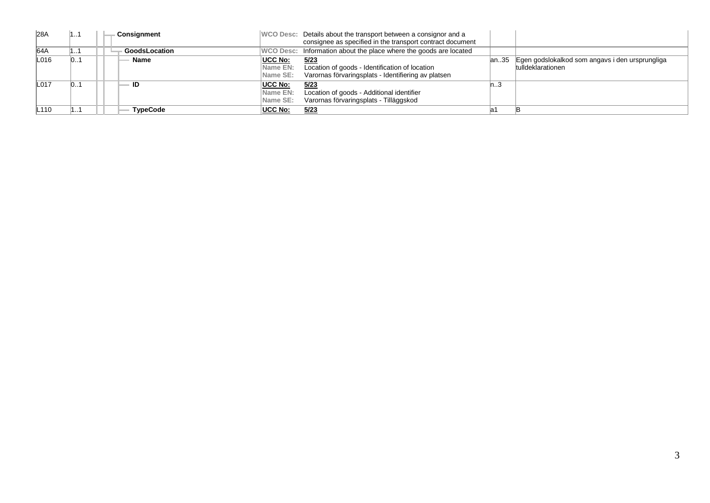| 28A  |    | Consignment     |                                               | WCO Desc: Details about the transport between a consignor and a<br>consignee as specified in the transport contract document |    |                                                                           |
|------|----|-----------------|-----------------------------------------------|------------------------------------------------------------------------------------------------------------------------------|----|---------------------------------------------------------------------------|
| 64A  |    | GoodsLocation   |                                               | WCO Desc: Information about the place where the goods are located                                                            |    |                                                                           |
| L016 | 01 | Name            | UCC No:<br><b>Name EN:</b><br><b>Name SE:</b> | 5/23<br>Location of goods - Identification of location<br>Varornas förvaringsplats - Identifiering av platsen                |    | an35 Egen godslokalkod som angavs i den ursprungliga<br>tulldeklarationen |
| L017 | 01 | - ID            | <b>UCC No:</b><br>Name EN:<br>Name SE:        | 5/23<br>Location of goods - Additional identifier<br>Varornas förvaringsplats - Tilläggskod                                  | ں… |                                                                           |
| ∟110 |    | <b>TypeCode</b> | UCC No:                                       | 5/23                                                                                                                         |    |                                                                           |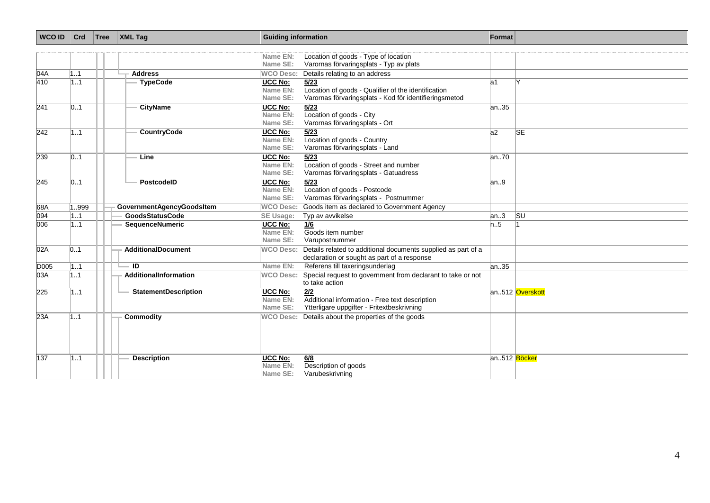| <b>WCO ID</b> | Crd   | Tree | <b>XML Tag</b>              | <b>Guiding information</b>             |                                                                                                                       | Format       |                 |
|---------------|-------|------|-----------------------------|----------------------------------------|-----------------------------------------------------------------------------------------------------------------------|--------------|-----------------|
|               |       |      |                             | Name EN:<br>Name SE:                   | Location of goods - Type of location<br>Varornas förvaringsplats - Typ av plats                                       |              |                 |
| 04A           | 1.1   |      | <b>Address</b>              | <b>WCO Desc:</b>                       | Details relating to an address                                                                                        |              |                 |
| 410           | 1.1   |      | <b>TypeCode</b>             | UCC No:<br>Name EN:<br>Name SE:        | 5/23<br>Location of goods - Qualifier of the identification<br>Varornas förvaringsplats - Kod för identifieringsmetod | la1          |                 |
| 241           | 01    |      | <b>CityName</b>             | <b>UCC No:</b><br>Name EN:<br>Name SE: | 5/23<br>Location of goods - City<br>Varornas förvaringsplats - Ort                                                    | an35         |                 |
| 242           | 1.1   |      | <b>CountryCode</b>          | <b>UCC No:</b><br>Name EN:<br>Name SE: | 5/23<br>Location of goods - Country<br>Varornas förvaringsplats - Land                                                | a2           | <b>SE</b>       |
| 239           | 01    |      | Line                        | <b>UCC No:</b><br>Name EN:<br>Name SE: | 5/23<br>Location of goods - Street and number<br>Varornas förvaringsplats - Gatuadress                                | an70         |                 |
| 245           | 01    |      | PostcodelD                  | <b>UCC No:</b><br>Name EN:<br>Name SE: | 5/23<br>Location of goods - Postcode<br>Varornas förvaringsplats - Postnummer                                         | an.9         |                 |
| 68A           | 1.999 |      | GovernmentAgencyGoodsItem   | <b>WCO Desc:</b>                       | Goods item as declared to Government Agency                                                                           |              |                 |
| 094           | 1.1   |      | <b>GoodsStatusCode</b>      | SE Usage:                              | Typ av avvikelse                                                                                                      | an.3         | <b>SU</b>       |
| 006           | 1.1   |      | <b>SequenceNumeric</b>      | <b>UCC No:</b><br>Name EN:<br>Name SE: | 1/6<br>Goods item number<br>Varupostnummer                                                                            | n.5          |                 |
| 02A           | 0.1   |      | <b>AdditionalDocument</b>   | <b>WCO Desc:</b>                       | Details related to additional documents supplied as part of a<br>declaration or sought as part of a response          |              |                 |
| D005          | 1.1   |      | $\overline{ID}$             | Name EN:                               | Referens till taxeringsunderlag                                                                                       | an35         |                 |
| 03A           | 1.1   |      | AdditionalInformation       | <b>WCO Desc:</b>                       | Special request to government from declarant to take or not<br>to take action                                         |              |                 |
| 225           | 11    |      | <b>StatementDescription</b> | UCC No:<br>Name EN:<br>Name SE:        | 2/2<br>Additional information - Free text description<br>Ytterligare uppgifter - Fritextbeskrivning                   |              | an512 Överskott |
| 23A           | 1.1   |      | Commodity                   | <b>WCO Desc:</b>                       | Details about the properties of the goods                                                                             |              |                 |
| 137           | 1.1   |      | <b>Description</b>          | <b>UCC No:</b><br>Name EN:<br>Name SE: | 6/8<br>Description of goods<br>Varubeskrivning                                                                        | an512 Böcker |                 |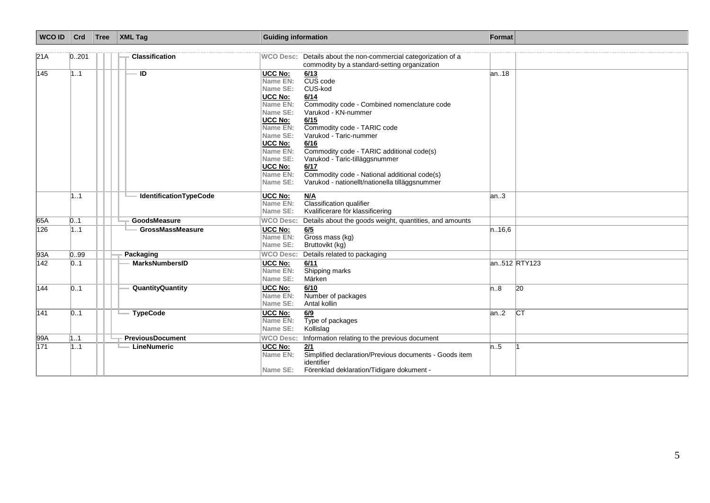| <b>WCO ID</b> | Crd   | Tree | <b>XML Tag</b>                | <b>Guiding information</b>                                                                                                                                                                                                                                                                                                                                                                                                                                                                                                                                               |       | Format       |
|---------------|-------|------|-------------------------------|--------------------------------------------------------------------------------------------------------------------------------------------------------------------------------------------------------------------------------------------------------------------------------------------------------------------------------------------------------------------------------------------------------------------------------------------------------------------------------------------------------------------------------------------------------------------------|-------|--------------|
| 21A           | 0.201 |      | <b>Classification</b>         | WCO Desc: Details about the non-commercial categorization of a<br>commodity by a standard-setting organization                                                                                                                                                                                                                                                                                                                                                                                                                                                           |       |              |
| 145           | 1.1   |      | ID                            | <b>UCC No:</b><br>6/13<br>CUS code<br>Name EN:<br>CUS-kod<br>Name SE:<br>UCC No:<br>6/14<br>Name EN:<br>Commodity code - Combined nomenclature code<br>Name SE:<br>Varukod - KN-nummer<br>UCC No:<br>6/15<br>Name EN:<br>Commodity code - TARIC code<br>Name SE:<br>Varukod - Taric-nummer<br><b>UCC No:</b><br>6/16<br>Commodity code - TARIC additional code(s)<br>Name EN:<br>Name SE:<br>Varukod - Taric-tilläggsnummer<br>UCC No:<br>6/17<br>Commodity code - National additional code(s)<br>Name EN:<br>Name SE:<br>Varukod - nationellt/nationella tilläggsnummer | an18  |              |
|               | 11    |      | <b>IdentificationTypeCode</b> | UCC No:<br>M/A<br>Name EN:<br><b>Classification qualifier</b><br>Kvalificerare för klassificering<br>Name SE:                                                                                                                                                                                                                                                                                                                                                                                                                                                            | an3   |              |
| 65A           | 01    |      | <b>GoodsMeasure</b>           | <b>WCO Desc:</b><br>Details about the goods weight, quantities, and amounts                                                                                                                                                                                                                                                                                                                                                                                                                                                                                              |       |              |
| 126           | 1.1   |      | <b>GrossMassMeasure</b>       | <b>UCC No:</b><br>6/5<br>Gross mass (kg)<br>Name EN:<br>Name SE:<br>Bruttovikt (kg)                                                                                                                                                                                                                                                                                                                                                                                                                                                                                      | n16,6 |              |
| 93A           | 0.99  |      | Packaging                     | <b>WCO Desc:</b><br>Details related to packaging                                                                                                                                                                                                                                                                                                                                                                                                                                                                                                                         |       |              |
| 142           | 0.1   |      | <b>MarksNumbersID</b>         | <b>UCC No:</b><br>6/11<br>Shipping marks<br>Name EN:<br>Name SE:<br>Märken                                                                                                                                                                                                                                                                                                                                                                                                                                                                                               |       | an512 RTY123 |
| 144           | 01    |      | QuantityQuantity              | UCC No:<br>6/10<br>Name EN:<br>Number of packages<br>Name SE:<br>Antal kollin                                                                                                                                                                                                                                                                                                                                                                                                                                                                                            | n.8   | 20           |
| 141           | 0.1   |      | <b>TypeCode</b>               | UCC No:<br>6/9<br>Type of packages<br>Name EN:<br>Name SE:<br>Kollislag                                                                                                                                                                                                                                                                                                                                                                                                                                                                                                  | an2   | CT           |
| 99A           | 1.1   |      | <b>PreviousDocument</b>       | <b>WCO Desc:</b><br>Information relating to the previous document                                                                                                                                                                                                                                                                                                                                                                                                                                                                                                        |       |              |
| 171           | 1.1   |      | LineNumeric                   | <b>UCC No:</b><br>2/1<br>Simplified declaration/Previous documents - Goods item<br>Name EN:<br>identifier<br>Name SE:<br>Förenklad deklaration/Tidigare dokument -                                                                                                                                                                                                                                                                                                                                                                                                       | n.5   |              |